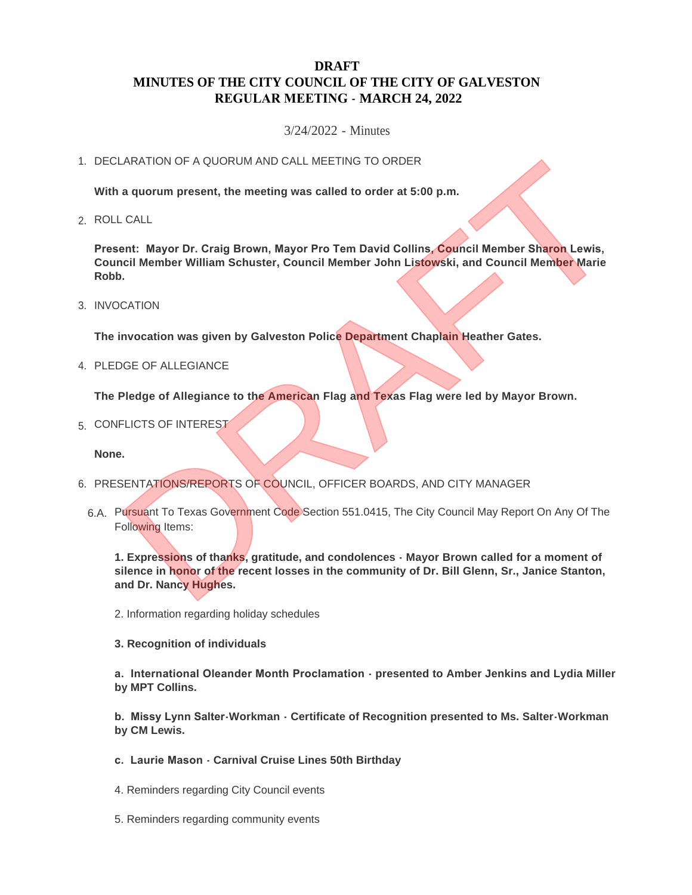# **DRAFT MINUTES OF THE CITY COUNCIL OF THE CITY OF GALVESTON REGULAR MEETING - MARCH 24, 2022**

3/24/2022 - Minutes

## 1. DECLARATION OF A QUORUM AND CALL MEETING TO ORDER

**With a quorum present, the meeting was called to order at 5:00 p.m.**

ROLL CALL 2.

**Present: Mayor Dr. Craig Brown, Mayor Pro Tem David Collins, Council Member Sharon Lewis, Council Member William Schuster, Council Member John Listowski, and Council Member Marie Robb.**

3. INVOCATION

**The invocation was given by Galveston Police Department Chaplain Heather Gates.**

4. PLEDGE OF ALLEGIANCE

**The Pledge of Allegiance to the American Flag and Texas Flag were led by Mayor Brown.**

5. CONFLICTS OF INTEREST

**None.**

- 6. PRESENTATIONS/REPORTS OF COUNCIL, OFFICER BOARDS, AND CITY MANAGER
	- 6.A. Pursuant To Texas Government Code Section 551.0415, The City Council May Report On Any Of The Following Items:

**1. Expressions of thanks, gratitude, and condolences - Mayor Brown called for a moment of silence in honor of the recent losses in the community of Dr. Bill Glenn, Sr., Janice Stanton, and Dr. Nancy Hughes.** TRATION OF A QUORUM AND CALL MEETING TO ORDER<br>
a quorum present, the meeting was called to order at 5:00 p.m.<br>
CALL<br>
ent: Mayor Dr. Craig Brown, Mayor Pro Tem David Collins, Council Member Sharon Lewis,<br>
DRAFTION<br>
DRAFTION

- 2. Information regarding holiday schedules
- **3. Recognition of individuals**

**a. International Oleander Month Proclamation - presented to Amber Jenkins and Lydia Miller by MPT Collins.**

**b. Missy Lynn Salter-Workman - Certificate of Recognition presented to Ms. Salter-Workman by CM Lewis.**

- **c. Laurie Mason Carnival Cruise Lines 50th Birthday**
- 4. Reminders regarding City Council events
- 5. Reminders regarding community events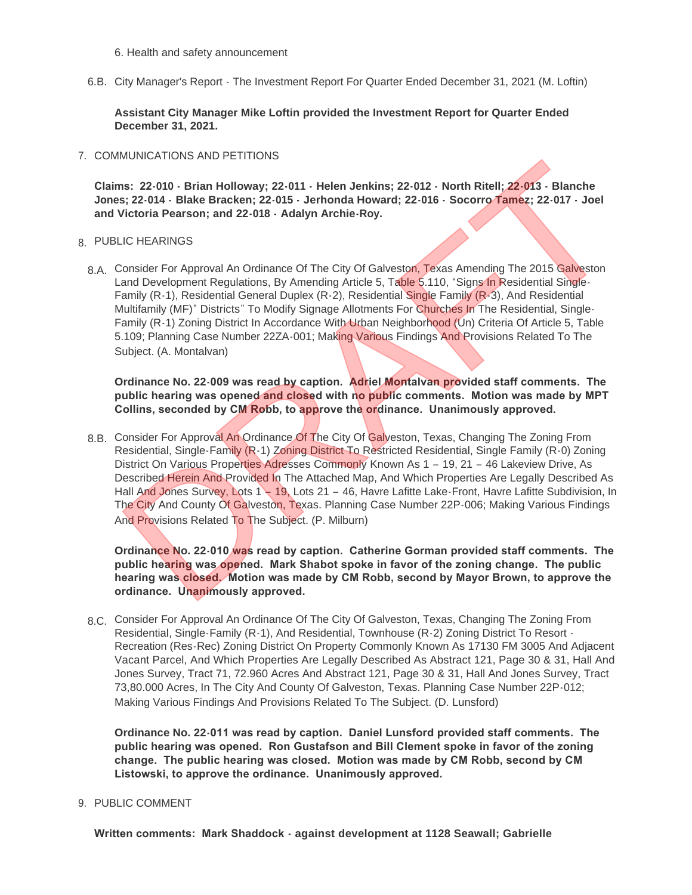6. Health and safety announcement

6.B. City Manager's Report - The Investment Report For Quarter Ended December 31, 2021 (M. Loftin)

**Assistant City Manager Mike Loftin provided the Investment Report for Quarter Ended December 31, 2021.**

## 7. COMMUNICATIONS AND PETITIONS

**Claims: 22-010 - Brian Holloway; 22-011 - Helen Jenkins; 22-012 - North Ritell; 22-013 - Blanche Jones; 22-014 - Blake Bracken; 22-015 - Jerhonda Howard; 22-016 - Socorro Tamez; 22-017 - Joel and Victoria Pearson; and 22-018 - Adalyn Archie-Roy.**

## PUBLIC HEARINGS 8.

8.A. Consider For Approval An Ordinance Of The City Of Galveston, Texas Amending The 2015 Galveston Land Development Regulations, By Amending Article 5, Table 5.110, "Signs In Residential Single-Family (R-1), Residential General Duplex (R-2), Residential Single Family (R-3), And Residential Multifamily (MF)" Districts" To Modify Signage Allotments For Churches In The Residential, Single-Family (R-1) Zoning District In Accordance With Urban Neighborhood (Un) Criteria Of Article 5, Table 5.109; Planning Case Number 22ZA-001; Making Various Findings And Provisions Related To The Subject. (A. Montalvan)

**Ordinance No. 22-009 was read by caption. Adriel Montalvan provided staff comments. The public hearing was opened and closed with no public comments. Motion was made by MPT Collins, seconded by CM Robb, to approve the ordinance. Unanimously approved.**

8.B. Consider For Approval An Ordinance Of The City Of Galveston, Texas, Changing The Zoning From Residential, Single-Family (R-1) Zoning District To Restricted Residential, Single Family (R-0) Zoning District On Various Properties Adresses Commonly Known As 1 - 19, 21 - 46 Lakeview Drive, As Described Herein And Provided In The Attached Map, And Which Properties Are Legally Described As Hall And Jones Survey, Lots 1 - 19, Lots 21 - 46, Havre Lafitte Lake-Front, Havre Lafitte Subdivision, In The City And County Of Galveston, Texas. Planning Case Number 22P-006; Making Various Findings And Provisions Related To The Subject. (P. Milburn) Molivic-All IDNS AND PETITIONS<br>
St: 22-010 • Brian Holloway: 22-015 • Helen Jenkins; 22-012 • North Ritell; 22-013 • Blanche<br>
St: 22-014 • Blake Bracken; 22-015 • Jerhonda Howard; 22-016 • Socorro Tamez; 22-017 • Joel<br>
Vic

**Ordinance No. 22-010 was read by caption. Catherine Gorman provided staff comments. The public hearing was opened. Mark Shabot spoke in favor of the zoning change. The public hearing was closed. Motion was made by CM Robb, second by Mayor Brown, to approve the ordinance. Unanimously approved.**

8.C. Consider For Approval An Ordinance Of The City Of Galveston, Texas, Changing The Zoning From Residential, Single-Family (R-1), And Residential, Townhouse (R-2) Zoning District To Resort - Recreation (Res-Rec) Zoning District On Property Commonly Known As 17130 FM 3005 And Adjacent Vacant Parcel, And Which Properties Are Legally Described As Abstract 121, Page 30 & 31, Hall And Jones Survey, Tract 71, 72.960 Acres And Abstract 121, Page 30 & 31, Hall And Jones Survey, Tract 73,80.000 Acres, In The City And County Of Galveston, Texas. Planning Case Number 22P-012; Making Various Findings And Provisions Related To The Subject. (D. Lunsford)

**Ordinance No. 22-011 was read by caption. Daniel Lunsford provided staff comments. The public hearing was opened. Ron Gustafson and Bill Clement spoke in favor of the zoning change. The public hearing was closed. Motion was made by CM Robb, second by CM Listowski, to approve the ordinance. Unanimously approved.**

9. PUBLIC COMMENT

**Written comments: Mark Shaddock - against development at 1128 Seawall; Gabrielle**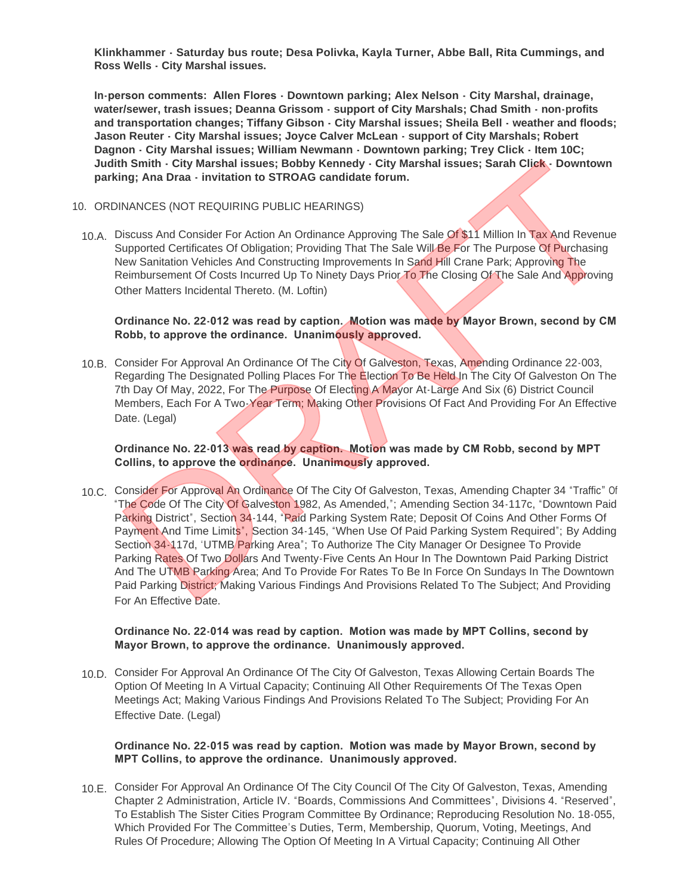**Klinkhammer - Saturday bus route; Desa Polivka, Kayla Turner, Abbe Ball, Rita Cummings, and Ross Wells - City Marshal issues.**

**In-person comments: Allen Flores - Downtown parking; Alex Nelson - City Marshal, drainage, water/sewer, trash issues; Deanna Grissom - support of City Marshals; Chad Smith - non-profits and transportation changes; Tiffany Gibson - City Marshal issues; Sheila Bell - weather and floods; Jason Reuter - City Marshal issues; Joyce Calver McLean - support of City Marshals; Robert Dagnon - City Marshal issues; William Newmann - Downtown parking; Trey Click - Item 10C; Judith Smith - City Marshal issues; Bobby Kennedy - City Marshal issues; Sarah Click - Downtown parking; Ana Draa - invitation to STROAG candidate forum.**

#### 10. ORDINANCES (NOT REQUIRING PUBLIC HEARINGS)

10.A. Discuss And Consider For Action An Ordinance Approving The Sale Of \$11 Million In Tax And Revenue Supported Certificates Of Obligation; Providing That The Sale Will Be For The Purpose Of Purchasing New Sanitation Vehicles And Constructing Improvements In Sand Hill Crane Park; Approving The Reimbursement Of Costs Incurred Up To Ninety Days Prior To The Closing Of The Sale And Approving Other Matters Incidental Thereto. (M. Loftin)

#### **Ordinance No. 22-012 was read by caption. Motion was made by Mayor Brown, second by CM Robb, to approve the ordinance. Unanimously approved.**

10.B. Consider For Approval An Ordinance Of The City Of Galveston, Texas, Amending Ordinance 22-003, Regarding The Designated Polling Places For The Election To Be Held In The City Of Galveston On The 7th Day Of May, 2022, For The Purpose Of Electing A Mayor At-Large And Six (6) District Council Members, Each For A Two-Year Term; Making Other Provisions Of Fact And Providing For An Effective Date. (Legal)

## **Ordinance No. 22-013 was read by caption. Motion was made by CM Robb, second by MPT Collins, to approve the ordinance. Unanimously approved.**

10.C. Consider For Approval An Ordinance Of The City Of Galveston, Texas, Amending Chapter 34 "Traffic" Of "The Code Of The City Of Galveston 1982, As Amended,"; Amending Section 34-117c, "Downtown Paid Parking District", Section 34-144, "Paid Parking System Rate; Deposit Of Coins And Other Forms Of Payment And Time Limits", Section 34-145, "When Use Of Paid Parking System Required"; By Adding Section 34-117d, 'UTMB Parking Area"; To Authorize The City Manager Or Designee To Provide Parking Rates Of Two Dollars And Twenty-Five Cents An Hour In The Downtown Paid Parking District And The UTMB Parking Area; And To Provide For Rates To Be In Force On Sundays In The Downtown Paid Parking District; Making Various Findings And Provisions Related To The Subject; And Providing For An Effective Date. h Smith - City Marshal issues; Bobby Kennedy - City Marshal issues; Sarah Click - Downtown<br>Ing; Ana Draa - invitation to STROAG candidate forum.<br>
NANCES (NOT REGUIRING PUBLIC HEARINGS)<br>
Discuss And Consider For Action An O

#### **Ordinance No. 22-014 was read by caption. Motion was made by MPT Collins, second by Mayor Brown, to approve the ordinance. Unanimously approved.**

10.D. Consider For Approval An Ordinance Of The City Of Galveston, Texas Allowing Certain Boards The Option Of Meeting In A Virtual Capacity; Continuing All Other Requirements Of The Texas Open Meetings Act; Making Various Findings And Provisions Related To The Subject; Providing For An Effective Date. (Legal)

### **Ordinance No. 22-015 was read by caption. Motion was made by Mayor Brown, second by MPT Collins, to approve the ordinance. Unanimously approved.**

10.E. Consider For Approval An Ordinance Of The City Council Of The City Of Galveston, Texas, Amending Chapter 2 Administration, Article IV. "Boards, Commissions And Committees", Divisions 4. "Reserved", To Establish The Sister Cities Program Committee By Ordinance; Reproducing Resolution No. 18-055, Which Provided For The Committee's Duties, Term, Membership, Quorum, Voting, Meetings, And Rules Of Procedure; Allowing The Option Of Meeting In A Virtual Capacity; Continuing All Other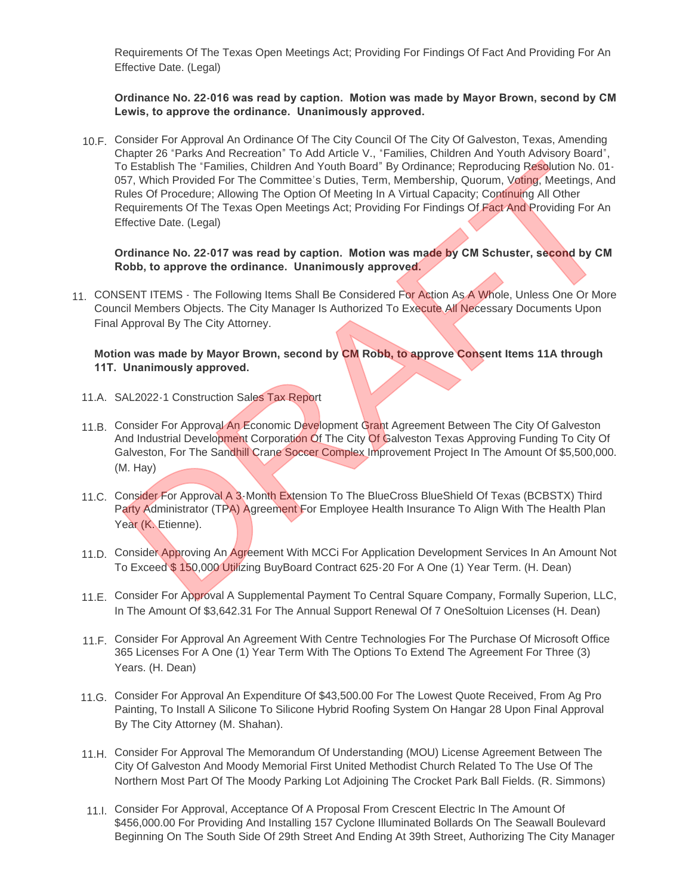Requirements Of The Texas Open Meetings Act; Providing For Findings Of Fact And Providing For An Effective Date. (Legal)

### **Ordinance No. 22-016 was read by caption. Motion was made by Mayor Brown, second by CM Lewis, to approve the ordinance. Unanimously approved.**

10.F. Consider For Approval An Ordinance Of The City Council Of The City Of Galveston, Texas, Amending Chapter 26 "Parks And Recreation" To Add Article V., "Families, Children And Youth Advisory Board", To Establish The "Families, Children And Youth Board" By Ordinance; Reproducing Resolution No. 01-057, Which Provided For The Committee's Duties, Term, Membership, Quorum, Voting, Meetings, And Rules Of Procedure; Allowing The Option Of Meeting In A Virtual Capacity; Continuing All Other Requirements Of The Texas Open Meetings Act; Providing For Findings Of Fact And Providing For An Effective Date. (Legal) my Line Trammines, Children And Youth Board By Critistics; Reproducing Resolution No. 01-<br>TSF, Which Provided For The Committee's Duties, Term, Membership, Quartin Martins, And Youth Scar<br>Strategie of Procedure; Allowing T

**Ordinance No. 22-017 was read by caption. Motion was made by CM Schuster, second by CM Robb, to approve the ordinance. Unanimously approved.**

11. CONSENT ITEMS - The Following Items Shall Be Considered For Action As A Whole, Unless One Or More Council Members Objects. The City Manager Is Authorized To Execute All Necessary Documents Upon Final Approval By The City Attorney.

## **Motion was made by Mayor Brown, second by CM Robb, to approve Consent Items 11A through 11T. Unanimously approved.**

- 11.A. SAL2022-1 Construction Sales Tax Report
- 11.B. Consider For Approval An Economic Development Grant Agreement Between The City Of Galveston And Industrial Development Corporation Of The City Of Galveston Texas Approving Funding To City Of Galveston, For The Sandhill Crane Soccer Complex Improvement Project In The Amount Of \$5,500,000. (M. Hay)
- 11.C. Consider For Approval A 3-Month Extension To The BlueCross BlueShield Of Texas (BCBSTX) Third Party Administrator (TPA) Agreement For Employee Health Insurance To Align With The Health Plan Year (K. Etienne).
- 11.D. Consider Approving An Agreement With MCCi For Application Development Services In An Amount Not To Exceed \$ 150,000 Utilizing BuyBoard Contract 625-20 For A One (1) Year Term. (H. Dean)
- 11.E. Consider For Approval A Supplemental Payment To Central Square Company, Formally Superion, LLC, In The Amount Of \$3,642.31 For The Annual Support Renewal Of 7 OneSoltuion Licenses (H. Dean)
- 11.F. Consider For Approval An Agreement With Centre Technologies For The Purchase Of Microsoft Office 365 Licenses For A One (1) Year Term With The Options To Extend The Agreement For Three (3) Years. (H. Dean)
- 11.G. Consider For Approval An Expenditure Of \$43,500.00 For The Lowest Quote Received, From Ag Pro Painting, To Install A Silicone To Silicone Hybrid Roofing System On Hangar 28 Upon Final Approval By The City Attorney (M. Shahan).
- Consider For Approval The Memorandum Of Understanding (MOU) License Agreement Between The 11.H. City Of Galveston And Moody Memorial First United Methodist Church Related To The Use Of The Northern Most Part Of The Moody Parking Lot Adjoining The Crocket Park Ball Fields. (R. Simmons)
- 11.I. Consider For Approval, Acceptance Of A Proposal From Crescent Electric In The Amount Of \$456,000.00 For Providing And Installing 157 Cyclone Illuminated Bollards On The Seawall Boulevard Beginning On The South Side Of 29th Street And Ending At 39th Street, Authorizing The City Manager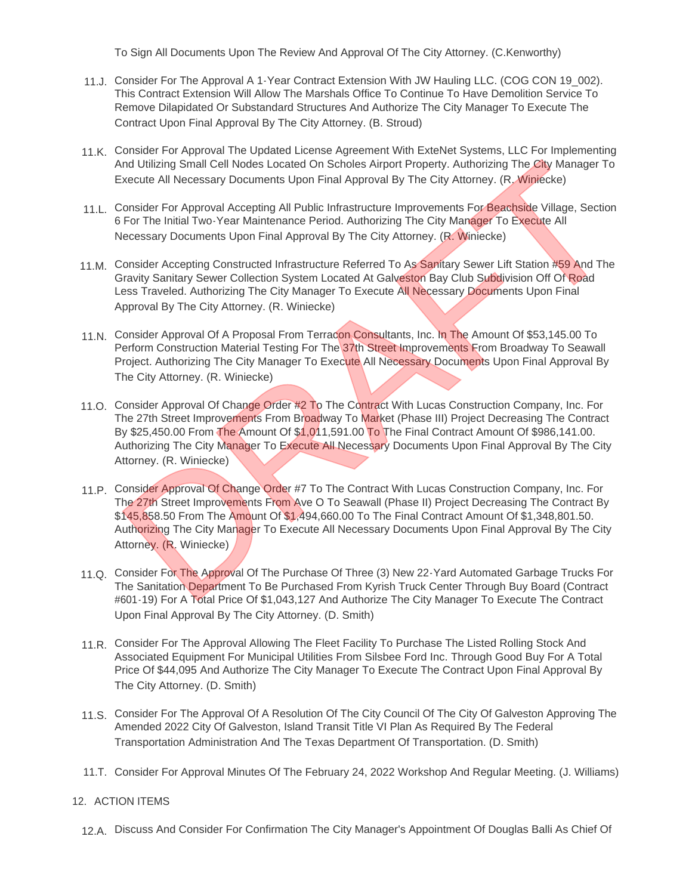To Sign All Documents Upon The Review And Approval Of The City Attorney. (C.Kenworthy)

- Consider For The Approval A 1-Year Contract Extension With JW Hauling LLC. (COG CON 19\_002). 11.J. This Contract Extension Will Allow The Marshals Office To Continue To Have Demolition Service To Remove Dilapidated Or Substandard Structures And Authorize The City Manager To Execute The Contract Upon Final Approval By The City Attorney. (B. Stroud)
- 11.K. Consider For Approval The Updated License Agreement With ExteNet Systems, LLC For Implementing And Utilizing Small Cell Nodes Located On Scholes Airport Property. Authorizing The City Manager To Execute All Necessary Documents Upon Final Approval By The City Attorney. (R. Winiecke)
- 11.L. Consider For Approval Accepting All Public Infrastructure Improvements For Beachside Village, Section 6 For The Initial Two-Year Maintenance Period. Authorizing The City Manager To Execute All Necessary Documents Upon Final Approval By The City Attorney. (R. Winiecke)
- 11.M. Consider Accepting Constructed Infrastructure Referred To As Sanitary Sewer Lift Station #59 And The Gravity Sanitary Sewer Collection System Located At Galveston Bay Club Subdivision Off Of Road Less Traveled. Authorizing The City Manager To Execute All Necessary Documents Upon Final Approval By The City Attorney. (R. Winiecke)
- 11.N. Consider Approval Of A Proposal From Terracon Consultants, Inc. In The Amount Of \$53,145.00 To Perform Construction Material Testing For The 37th Street Improvements From Broadway To Seawall Project. Authorizing The City Manager To Execute All Necessary Documents Upon Final Approval By The City Attorney. (R. Winiecke)
- 11.O. Consider Approval Of Change Order #2 To The Contract With Lucas Construction Company, Inc. For The 27th Street Improvements From Broadway To Market (Phase III) Project Decreasing The Contract By \$25,450.00 From The Amount Of \$1,011,591.00 To The Final Contract Amount Of \$986,141.00. Authorizing The City Manager To Execute All Necessary Documents Upon Final Approval By The City Attorney. (R. Winiecke) und Utilizing Small Cell Nodes Located On Scholes Airport Property, Authorizing The City Manager To<br>
Scholes All Necessary Documents Upon Final Approval By The City Attorney. (R. Winnecke)<br>
Consider For Approval Accepting
- 11.P. Consider Approval Of Change Order #7 To The Contract With Lucas Construction Company, Inc. For The 27th Street Improvements From Ave O To Seawall (Phase II) Project Decreasing The Contract By \$145,858.50 From The Amount Of \$1,494,660.00 To The Final Contract Amount Of \$1,348,801.50. Authorizing The City Manager To Execute All Necessary Documents Upon Final Approval By The City Attorney. (R. Winiecke)
- 11.Q. Consider For The Approval Of The Purchase Of Three (3) New 22-Yard Automated Garbage Trucks For The Sanitation Department To Be Purchased From Kyrish Truck Center Through Buy Board (Contract #601-19) For A Total Price Of \$1,043,127 And Authorize The City Manager To Execute The Contract Upon Final Approval By The City Attorney. (D. Smith)
- 11.R. Consider For The Approval Allowing The Fleet Facility To Purchase The Listed Rolling Stock And Associated Equipment For Municipal Utilities From Silsbee Ford Inc. Through Good Buy For A Total Price Of \$44,095 And Authorize The City Manager To Execute The Contract Upon Final Approval By The City Attorney. (D. Smith)
- 11.S. Consider For The Approval Of A Resolution Of The City Council Of The City Of Galveston Approving The Amended 2022 City Of Galveston, Island Transit Title VI Plan As Required By The Federal Transportation Administration And The Texas Department Of Transportation. (D. Smith)
- 11.T. Consider For Approval Minutes Of The February 24, 2022 Workshop And Regular Meeting. (J. Williams)

## 12. ACTION ITEMS

12.A. Discuss And Consider For Confirmation The City Manager's Appointment Of Douglas Balli As Chief Of